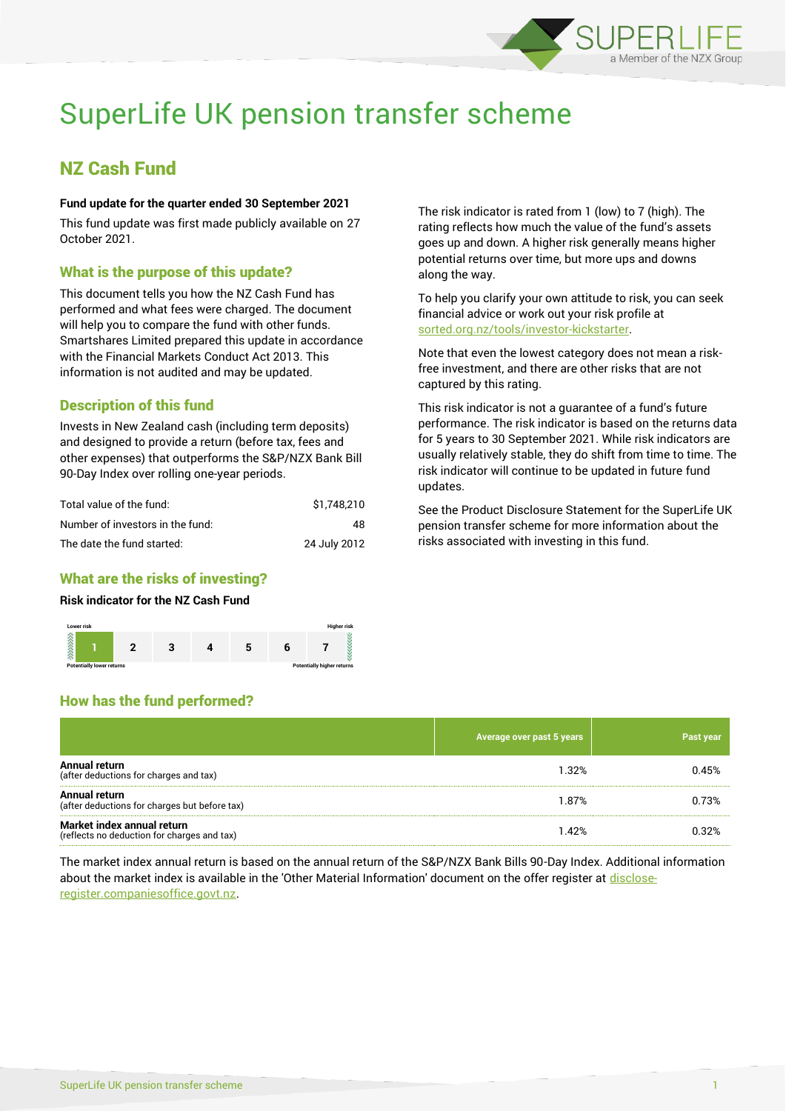

# SuperLife UK pension transfer scheme

# NZ Cash Fund

#### **Fund update for the quarter ended 30 September 2021**

This fund update was first made publicly available on 27 October 2021.

### What is the purpose of this update?

This document tells you how the NZ Cash Fund has performed and what fees were charged. The document will help you to compare the fund with other funds. Smartshares Limited prepared this update in accordance with the Financial Markets Conduct Act 2013. This information is not audited and may be updated.

# Description of this fund

Invests in New Zealand cash (including term deposits) and designed to provide a return (before tax, fees and other expenses) that outperforms the S&P/NZX Bank Bill 90-Day Index over rolling one-year periods.

| Total value of the fund:         | \$1.748.210  |
|----------------------------------|--------------|
| Number of investors in the fund: | 48           |
| The date the fund started:       | 24 July 2012 |

#### What are the risks of investing?

#### **Risk indicator for the NZ Cash Fund**

How has the fund performed?



The risk indicator is rated from 1 (low) to 7 (high). The rating reflects how much the value of the fund's assets goes up and down. A higher risk generally means higher potential returns over time, but more ups and downs along the way.

To help you clarify your own attitude to risk, you can seek financial advice or work out your risk profile at [sorted.org.nz/tools/investor-kickstarter.](http://www.sorted.org.nz/tools/investor-kickstarter)

Note that even the lowest category does not mean a riskfree investment, and there are other risks that are not captured by this rating.

This risk indicator is not a guarantee of a fund's future performance. The risk indicator is based on the returns data for 5 years to 30 September 2021. While risk indicators are usually relatively stable, they do shift from time to time. The risk indicator will continue to be updated in future fund updates.

See the Product Disclosure Statement for the SuperLife UK pension transfer scheme for more information about the risks associated with investing in this fund.

# **Average over past 5 years Past year Average over past 5 years Annual return** Annual return<br>(after deductions for charges and tax) 8.15% 0.45% 0.45% 0.45% 0.45% 0.45% 0.45% 0.45% 0.45% 0.45% 0.45% 0.45% **Annual return**  Annual return<br>(after deductions for charges but before tax) 1.87% 0.73% **Market index annual return** Market index annual return details and tax)<br>(reflects no deduction for charges and tax) details are set of the set of the set of the set of the set of the

The market index annual return is based on the annual return of the S&P/NZX Bank Bills 90-Day Index. Additional information about the market index is available in the 'Other Material Information' document on the offer register a[t disclose](http://www.disclose-register.companiesoffice.govt.nz/)[register.companiesoffice.govt.nz.](http://www.disclose-register.companiesoffice.govt.nz/)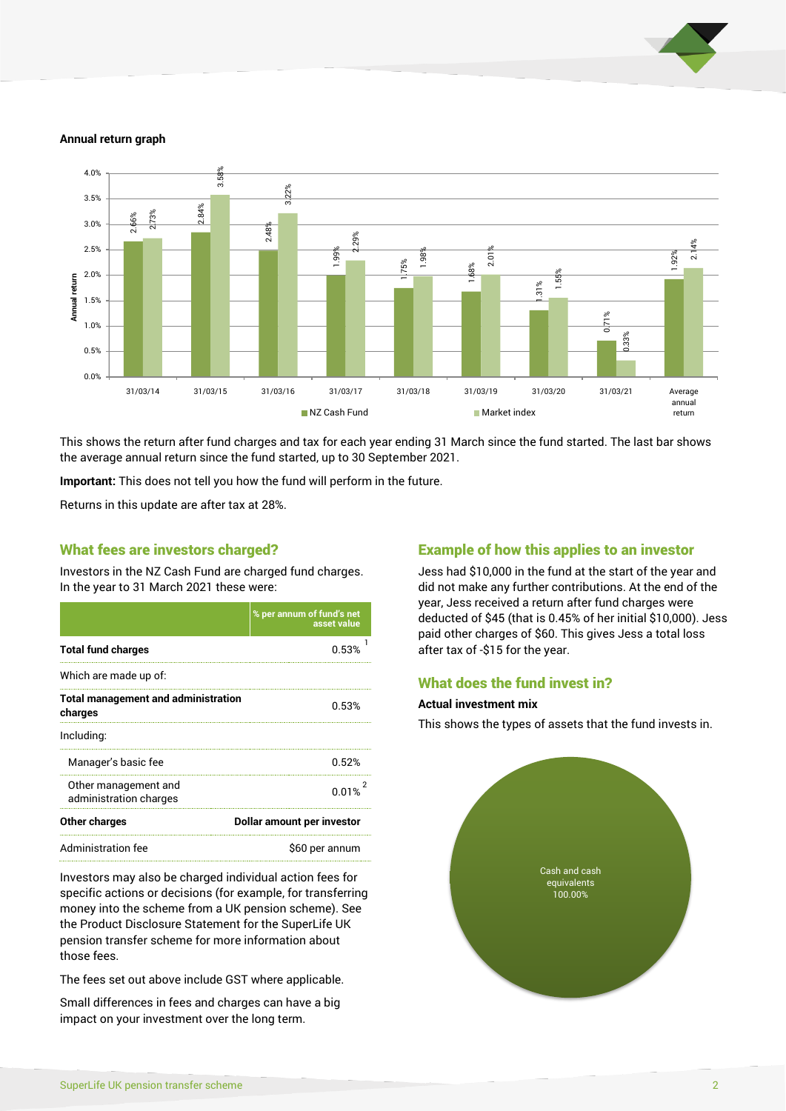

#### **Annual return graph**



This shows the return after fund charges and tax for each year ending 31 March since the fund started. The last bar shows the average annual return since the fund started, up to 30 September 2021.

**Important:** This does not tell you how the fund will perform in the future.

Returns in this update are after tax at 28%.

#### What fees are investors charged?

Investors in the NZ Cash Fund are charged fund charges. In the year to 31 March 2021 these were:

|                                                       | % per annum of fund's net<br>asset value |  |
|-------------------------------------------------------|------------------------------------------|--|
| <b>Total fund charges</b>                             | 0.53%                                    |  |
| Which are made up of:                                 |                                          |  |
| <b>Total management and administration</b><br>charges | 0.53%                                    |  |
| Including:                                            |                                          |  |
| Manager's basic fee                                   | 0.52%                                    |  |
| Other management and<br>administration charges        | 0.01%                                    |  |
| Other charges                                         | Dollar amount per investor               |  |
| <b>Administration fee</b>                             | \$60 per annum                           |  |

Investors may also be charged individual action fees for specific actions or decisions (for example, for transferring money into the scheme from a UK pension scheme). See the Product Disclosure Statement for the SuperLife UK pension transfer scheme for more information about those fees.

The fees set out above include GST where applicable.

Small differences in fees and charges can have a big impact on your investment over the long term.

#### Example of how this applies to an investor

Jess had \$10,000 in the fund at the start of the year and did not make any further contributions. At the end of the year, Jess received a return after fund charges were deducted of \$45 (that is 0.45% of her initial \$10,000). Jess paid other charges of \$60. This gives Jess a total loss after tax of -\$15 for the year.

#### What does the fund invest in?

#### **Actual investment mix**

This shows the types of assets that the fund invests in.

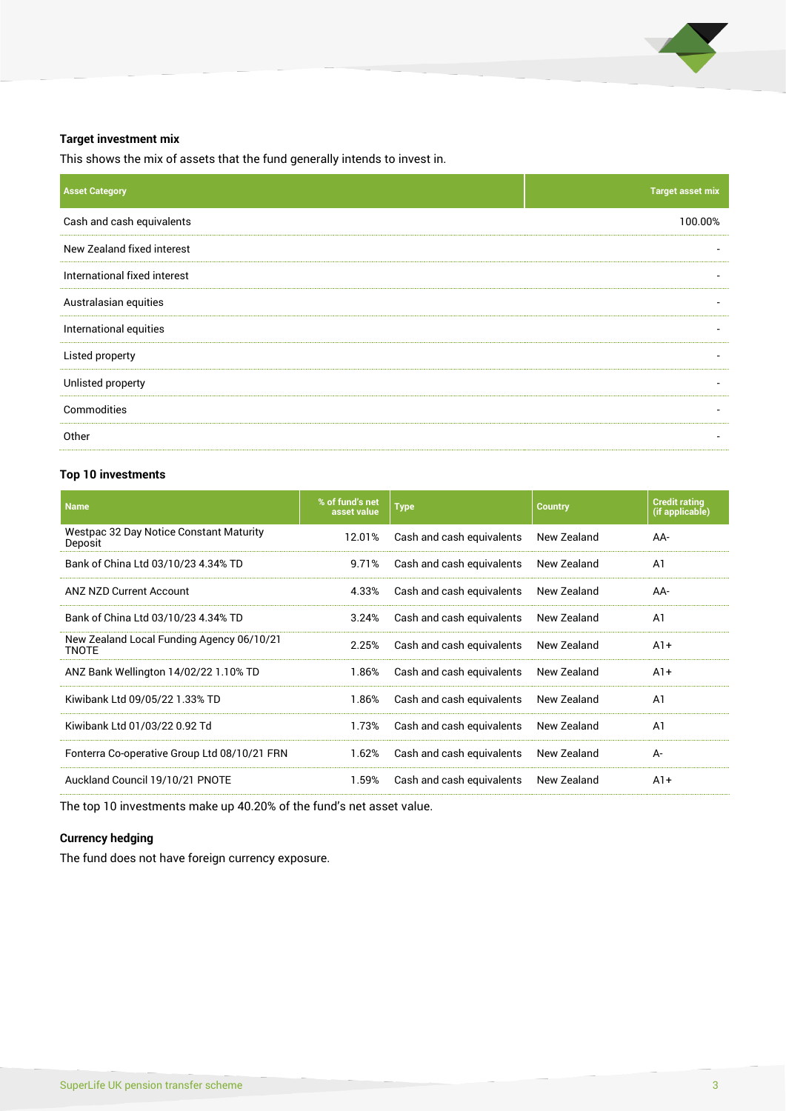

#### **Target investment mix**

This shows the mix of assets that the fund generally intends to invest in.

| <b>Target asset mix</b> |
|-------------------------|
| 100.00%                 |
|                         |
|                         |
|                         |
|                         |
|                         |
|                         |
|                         |
|                         |
|                         |

#### **Top 10 investments**

| <b>Name</b>                                               | % of fund's net<br>asset value | <b>Type</b>               | <b>Country</b> | <b>Credit rating</b><br>(if applicable) |
|-----------------------------------------------------------|--------------------------------|---------------------------|----------------|-----------------------------------------|
| Westpac 32 Day Notice Constant Maturity<br>Deposit        | 12.01%                         | Cash and cash equivalents | New Zealand    | AA-                                     |
| Bank of China Ltd 03/10/23 4.34% TD                       | 9.71%                          | Cash and cash equivalents | New Zealand    | A1                                      |
| <b>ANZ NZD Current Account</b>                            | 4.33%                          | Cash and cash equivalents | New Zealand    | AA-                                     |
| Bank of China Ltd 03/10/23 4.34% TD                       | 3.24%                          | Cash and cash equivalents | New Zealand    | A <sub>1</sub>                          |
| New Zealand Local Funding Agency 06/10/21<br><b>TNOTE</b> | 2.25%                          | Cash and cash equivalents | New Zealand    | $A1+$                                   |
| ANZ Bank Wellington 14/02/22 1.10% TD                     | 1.86%                          | Cash and cash equivalents | New Zealand    | $A1+$                                   |
| Kiwibank Ltd 09/05/22 1.33% TD                            | 1.86%                          | Cash and cash equivalents | New Zealand    | A <sub>1</sub>                          |
| Kiwibank Ltd 01/03/22 0.92 Td                             | 1.73%                          | Cash and cash equivalents | New Zealand    | A <sub>1</sub>                          |
| Fonterra Co-operative Group Ltd 08/10/21 FRN              | 1.62%                          | Cash and cash equivalents | New Zealand    | A-                                      |
| Auckland Council 19/10/21 PNOTE                           | 1.59%                          | Cash and cash equivalents | New Zealand    | $A1+$                                   |

The top 10 investments make up 40.20% of the fund's net asset value.

#### **Currency hedging**

The fund does not have foreign currency exposure.